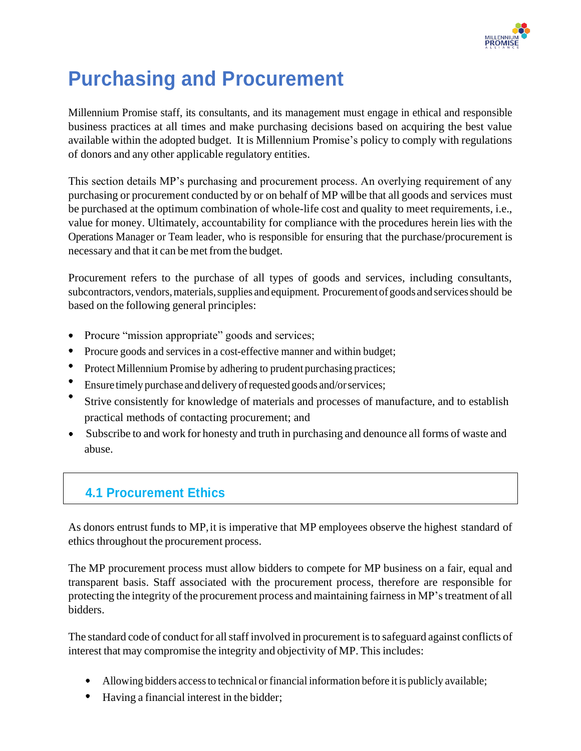

# **Purchasing and Procurement**

Millennium Promise staff, its consultants, and its management must engage in ethical and responsible business practices at all times and make purchasing decisions based on acquiring the best value available within the adopted budget. It is Millennium Promise's policy to comply with regulations of donors and any other applicable regulatory entities.

This section details MP's purchasing and procurement process. An overlying requirement of any purchasing or procurement conducted by or on behalf of MP willbe that all goods and services must be purchased at the optimum combination of whole-life cost and quality to meet requirements, i.e., value for money. Ultimately, accountability for compliance with the procedures herein lies with the Operations Manager or Team leader, who is responsible for ensuring that the purchase/procurement is necessary and that it can be met from the budget.

Procurement refers to the purchase of all types of goods and services, including consultants, subcontractors, vendors, materials, supplies and equipment. Procurement of goods and services should be based on the following general principles:

- Procure "mission appropriate" goods and services;
- Procure goods and services in a cost-effective manner and within budget;
- Protect Millennium Promise by adhering to prudent purchasing practices;
- Ensure timely purchase and delivery of requested goods and/or services;
- Strive consistently for knowledge of materials and processes of manufacture, and to establish practical methods of contacting procurement; and
- $\bullet$  Subscribe to and work for honesty and truth in purchasing and denounce all forms of waste and abuse.

# **4.1 Procurement Ethics**

As donors entrust funds to MP, it is imperative that MP employees observe the highest standard of ethics throughout the procurement process.

The MP procurement process must allow bidders to compete for MP business on a fair, equal and transparent basis. Staff associated with the procurement process, therefore are responsible for protecting the integrity of the procurement process and maintaining fairnessin MP'streatment of all bidders.

The standard code of conduct for all staff involved in procurement is to safeguard against conflicts of interest that may compromise the integrity and objectivity of MP. This includes:

- Allowing bidders access to technical or financial information before it is publicly available;
- Having a financial interest in the bidder;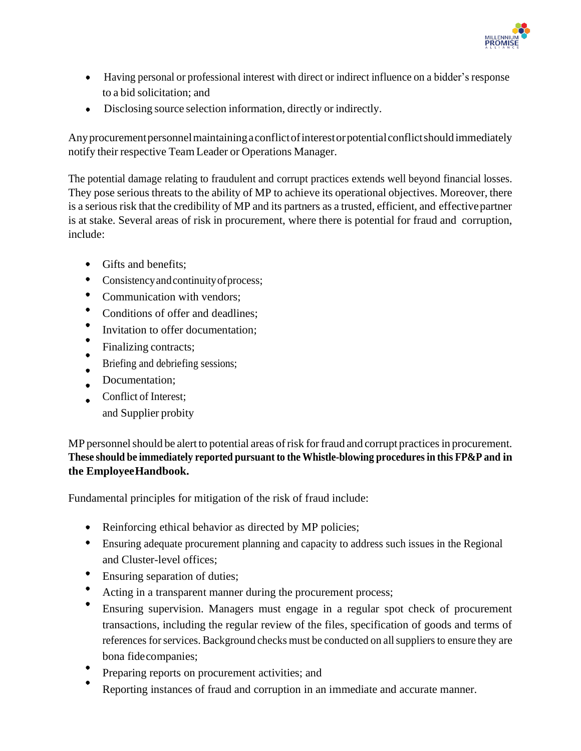

- Having personal or professional interest with direct or indirect influence on a bidder's response to a bid solicitation; and
- Disclosing source selection information, directly or indirectly.

Anyprocurementpersonnelmaintainingaconflictofinterestorpotentialconflictshould immediately notify their respective Team Leader or Operations Manager.

The potential damage relating to fraudulent and corrupt practices extends well beyond financial losses. They pose serious threats to the ability of MP to achieve its operational objectives. Moreover, there is a serious risk that the credibility of MP and its partners as a trusted, efficient, and effectivepartner is at stake. Several areas of risk in procurement, where there is potential for fraud and corruption, include:

- Gifts and benefits:
- Consistency and continuity of process;
- Communication with vendors;
- Conditions of offer and deadlines;
- $\bullet$ Invitation to offer documentation;
- Finalizing contracts;
- Briefing and debriefing sessions;
- Documentation;
- Conflict of Interest; and Supplier probity

MP personnel should be alert to potential areas of risk for fraud and corrupt practices in procurement. **These should be immediately reported pursuant to the Whistle-blowing proceduresin this FP&P and in the EmployeeHandbook.**

Fundamental principles for mitigation of the risk of fraud include:

- Reinforcing ethical behavior as directed by MP policies;
- Ensuring adequate procurement planning and capacity to address such issues in the Regional and Cluster-level offices;
- Ensuring separation of duties;
- Acting in a transparent manner during the procurement process;
- Ensuring supervision. Managers must engage in a regular spot check of procurement transactions, including the regular review of the files, specification of goods and terms of references for services. Background checks must be conducted on all suppliers to ensure they are bona fidecompanies;
- Preparing reports on procurement activities; and
- Reporting instances of fraud and corruption in an immediate and accurate manner.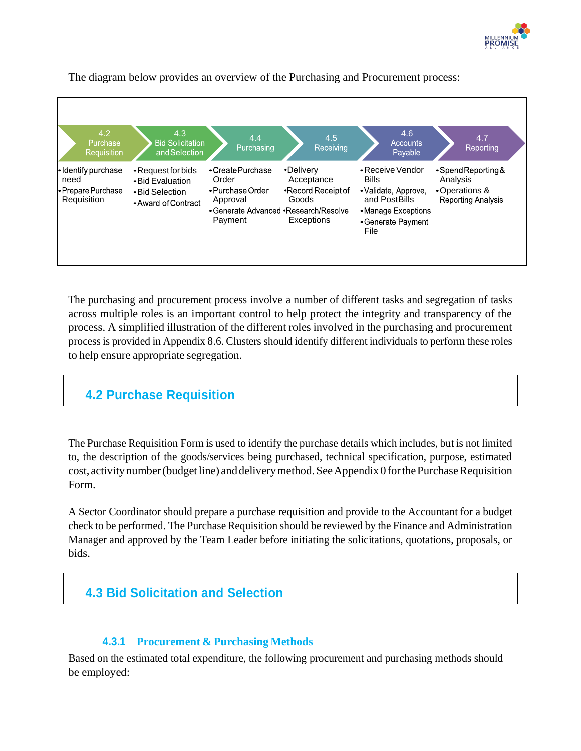



The diagram below provides an overview of the Purchasing and Procurement process:

The purchasing and procurement process involve a number of different tasks and segregation of tasks across multiple roles is an important control to help protect the integrity and transparency of the process. A simplified illustration of the different roles involved in the purchasing and procurement processis provided in Appendix 8.6. Clusters should identify different individuals to perform these roles to help ensure appropriate segregation.

### **4.2 Purchase Requisition**

The Purchase Requisition Form is used to identify the purchase details which includes, but is not limited to, the description of the goods/services being purchased, technical specification, purpose, estimated cost, activity number (budget line) and delivery method. See Appendix 0 for the Purchase Requisition Form.

A Sector Coordinator should prepare a purchase requisition and provide to the Accountant for a budget check to be performed. The Purchase Requisition should be reviewed by the Finance and Administration Manager and approved by the Team Leader before initiating the solicitations, quotations, proposals, or bids.

## **4.3 Bid Solicitation and Selection**

#### **4.3.1 Procurement & Purchasing Methods**

Based on the estimated total expenditure, the following procurement and purchasing methods should be employed: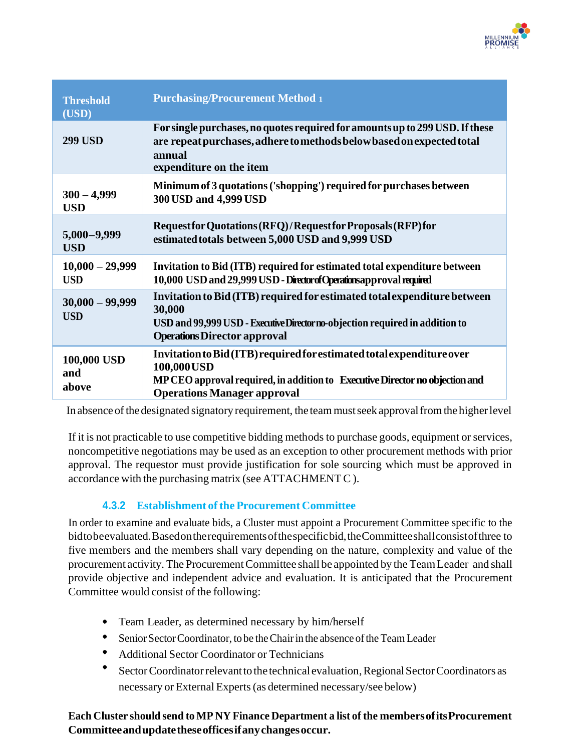

| <b>Threshold</b><br>(USD)       | <b>Purchasing/Procurement Method 1</b>                                                                                                                                                                     |
|---------------------------------|------------------------------------------------------------------------------------------------------------------------------------------------------------------------------------------------------------|
| <b>299 USD</b>                  | For single purchases, no quotes required for amounts up to 299 USD. If these<br>are repeat purchases, adhere to methods below based on expected total<br>annual<br>expenditure on the item                 |
| $300 - 4,999$<br><b>USD</b>     | Minimum of 3 quotations ('shopping') required for purchases between<br>300 USD and 4,999 USD                                                                                                               |
| $5,000 - 9,999$<br><b>USD</b>   | Request for Quotations (RFQ)/Request for Proposals (RFP) for<br>estimated totals between 5,000 USD and 9,999 USD                                                                                           |
| $10,000 - 29,999$<br><b>USD</b> | Invitation to Bid (ITB) required for estimated total expenditure between<br>10,000 USD and 29,999 USD - Director of Operations approval required                                                           |
| $30,000 - 99,999$<br><b>USD</b> | Invitation to Bid (ITB) required for estimated total expenditure between<br>30,000<br>USD and 99,999 USD - Executive Director no-objection required in addition to<br><b>Operations Director approval</b>  |
| 100,000 USD<br>and<br>above     | Invitation to Bid (ITB) required for estimated total expenditure over<br>100,000 USD<br>MP CEO approval required, in addition to Executive Director no objection and<br><b>Operations Manager approval</b> |

In absence of the designated signatory requirement, the team must seek approval from the higher level

If it is not practicable to use competitive bidding methods to purchase goods, equipment or services, noncompetitive negotiations may be used as an exception to other procurement methods with prior approval. The requestor must provide justification for sole sourcing which must be approved in accordance with the purchasing matrix (see ATTACHMENT C).

#### **4.3.2 Establishment of the Procurement Committee**

In order to examine and evaluate bids, a Cluster must appoint a Procurement Committee specific to the bidtobeevaluated.Basedontherequirementsofthespecificbid,theCommitteeshallconsistofthree to five members and the members shall vary depending on the nature, complexity and value of the procurement activity. The Procurement Committee shall be appointed by the Team Leader and shall provide objective and independent advice and evaluation. It is anticipated that the Procurement Committee would consist of the following:

- Team Leader, as determined necessary by him/herself
- $\bullet$ Senior Sector Coordinator, to be the Chair in the absence of the Team Leader
- Additional Sector Coordinator or Technicians
- Sector Coordinator relevant to the technical evaluation, Regional Sector Coordinators as necessary or External Experts(as determined necessary/see below)

**Each Cluster should send to MP NY Finance Department a list of the membersofitsProcurement Committeeandupdatetheseofficesifanychangesoccur.**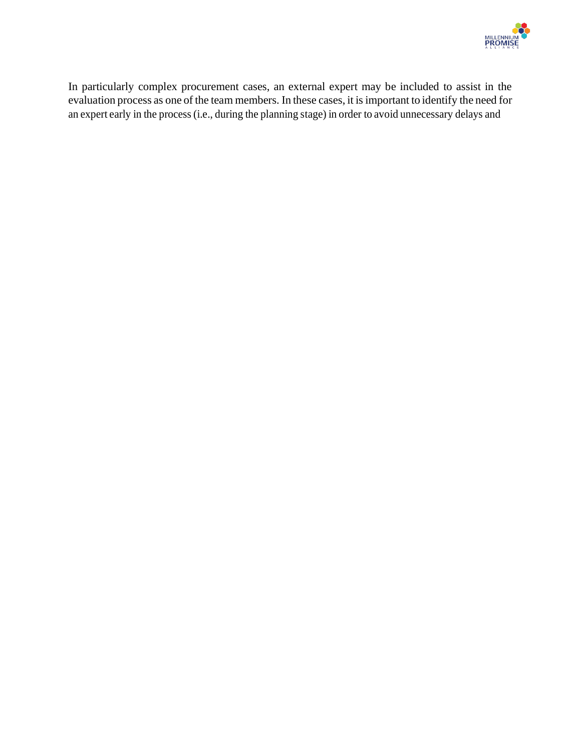

In particularly complex procurement cases, an external expert may be included to assist in the evaluation process as one of the team members. In these cases, it isimportant to identify the need for an expert early in the process(i.e., during the planning stage) in order to avoid unnecessary delays and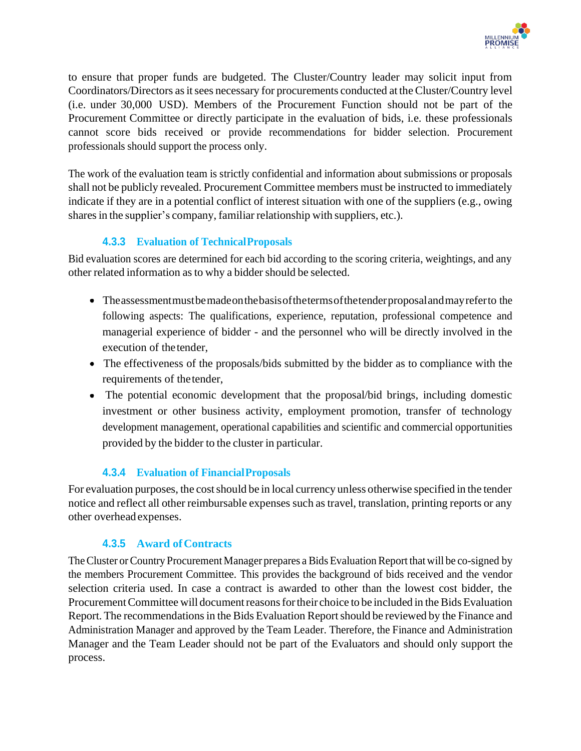

to ensure that proper funds are budgeted. The Cluster/Country leader may solicit input from Coordinators/Directors as it sees necessary for procurements conducted at the Cluster/Country level (i.e. under 30,000 USD). Members of the Procurement Function should not be part of the Procurement Committee or directly participate in the evaluation of bids, i.e. these professionals cannot score bids received or provide recommendations for bidder selection. Procurement professionals should support the process only.

The work of the evaluation team is strictly confidential and information about submissions or proposals shall not be publicly revealed. Procurement Committee members must be instructed to immediately indicate if they are in a potential conflict of interest situation with one of the suppliers (e.g., owing shares in the supplier's company, familiar relationship with suppliers, etc.).

#### **4.3.3 Evaluation of TechnicalProposals**

Bid evaluation scores are determined for each bid according to the scoring criteria, weightings, and any other related information as to why a bidder should be selected.

- Theassessmentmustbemadeonthebasisofthetermsofthetenderproposalandmayreferto the following aspects: The qualifications, experience, reputation, professional competence and managerial experience of bidder - and the personnel who will be directly involved in the execution of thetender,
- The effectiveness of the proposals/bids submitted by the bidder as to compliance with the requirements of the tender,
- The potential economic development that the proposal/bid brings, including domestic investment or other business activity, employment promotion, transfer of technology development management, operational capabilities and scientific and commercial opportunities provided by the bidder to the cluster in particular.

#### **4.3.4 Evaluation of FinancialProposals**

For evaluation purposes, the costshould be in local currency unless otherwise specified in the tender notice and reflect all other reimbursable expenses such as travel, translation, printing reports or any other overhead expenses.

#### **4.3.5 Award ofContracts**

The Cluster or Country Procurement Manager prepares a Bids Evaluation Report that will be co-signed by the members Procurement Committee. This provides the background of bids received and the vendor selection criteria used. In case a contract is awarded to other than the lowest cost bidder, the Procurement Committee will document reasons for their choice to be included in the Bids Evaluation Report. The recommendations in the Bids Evaluation Report should be reviewed by the Finance and Administration Manager and approved by the Team Leader. Therefore, the Finance and Administration Manager and the Team Leader should not be part of the Evaluators and should only support the process.